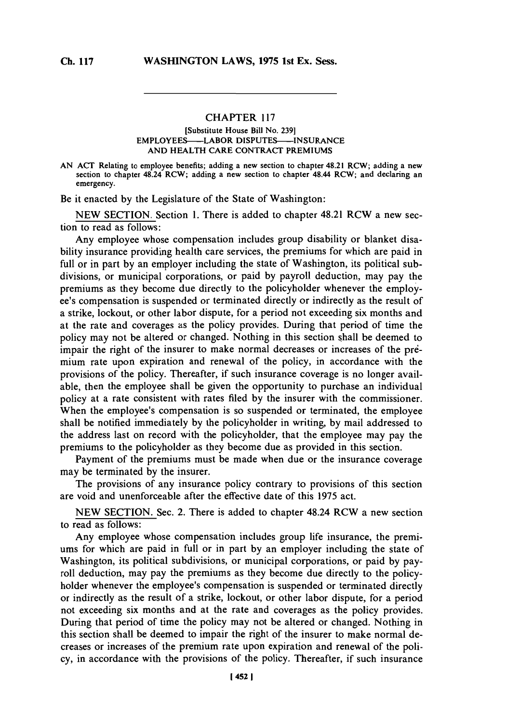## CHAPTER **117**

## [Substitute House Bill No. **239]** EMPLOYEES-LABOR **DISPUTES-INSURANCE AND** HEALTH CARE CONTRACT PREMIUMS

**AN ACT** Relating to employee benefits; adding a new section to chapter 48.21 RCW; adding a new section to chapter 48.24 RCW; adding a new section to chapter 48.44 RCW; and declaring an emergency.

Be it enacted **by** the Legislature of the State of Washington:

**NEW SECTION.** Section **1.** There is added to chapter 48.21 RCW a new section to read as follows:

Any employee whose compensation includes group disability or blanket disability insurance providing health care services, the premiums for which are paid in full or in part **by** an employer including the state of Washington, its political subdivisions, or municipal corporations, or paid **by** payroll deduction, may pay the premiums as they become due directly to the policyholder whenever the employee's compensation is suspended or terminated directly or indirectly as the result of a strike, lockout, or other labor dispute, for a period not exceeding six months and at the rate and coverages as the policy provides. During that period of time the policy may not be altered or changed. Nothing in this section shall be deemed to impair the right of the insurer to make normal decreases or increases of the premium rate upon expiration and renewal of the policy, in accordance with the provisions of the policy. Thereafter, if such insurance coverage is no longer available, then the employee shall be given the opportunity to purchase an individual policy at a rate consistent with rates filed **by** the insurer with the commissioner. When the employee's compensation is so suspended or terminated, the employee shall be notified immediately **by** the policyholder in writing, **by** mail addressed to the address last on record with the policyholder, that the employee may pay the premiums to the policyholder as they become due as provided in this section.

Payment of the premiums must be made when due or the insurance coverage may be terminated **by** the insurer.

The provisions of any insurance policy contrary to provisions of this section are void and unenforceable after the effective date of this **1975** act.

**NEW SECTION.** Sec. 2. There is added to chapter 48.24 RCW a new section to read as follows:

Any employee whose compensation includes group life insurance, the premiums for which are paid in full or in part **by** an employer including the state of Washington, its political subdivisions, or municipal corporations, or paid **by** payroll deduction, may pay the premiums as they become due directly to the policyholder whenever the employee's compensation is suspended or terminated directly or indirectly as the result of a strike, lockout, or other labor dispute, for a period not exceeding six months and at the rate and coverages as the policy provides. During that period of time the policy may not be altered or changed. Nothing in this section shall be deemed to impair the right of the insurer to make normal decreases or increases of the premium rate upon expiration and renewal of the policy, in accordance with the provisions of the policy. Thereafter, if such insurance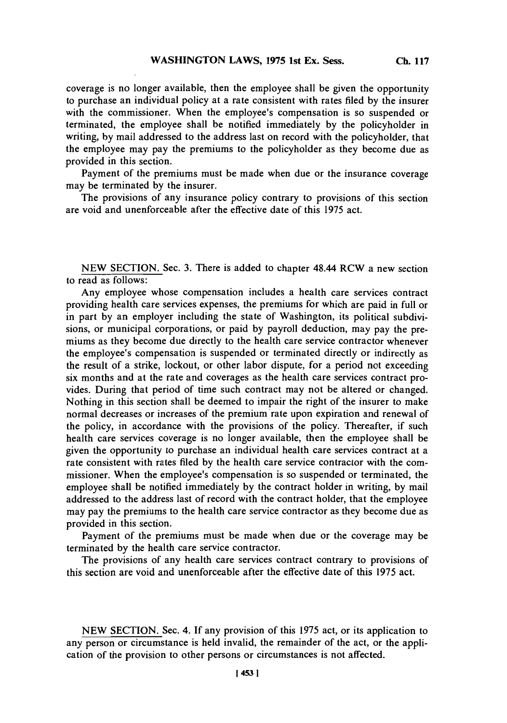coverage is no longer available, then the employee shall be given the opportunity to purchase an individual policy at a rate consistent with rates filed **by** the insurer with the commissioner. When the employee's compensation is so suspended or terminated, the employee shall be notified immediately **by** the policyholder in writing, **by** mail addressed to the address last on record with the policyholder, that the employee may pay the premiums to the policyholder as they become due as provided in this section.

Payment of the premiums must be made when due or the insurance coverage may be terminated **by** the insurer.

The provisions of any insurance policy contrary to provisions of this section are void and unenforceable after the effective date of this *1975* act.

**NEW SECTION.** Sec. **3.** There is added to chapter 48.44 RCW a new section to read as follows:

Any employee whose compensation includes a health care services contract providing health care services expenses, the premiums for which are paid in full or in part **by** an employer including the state of Washington, its political subdivisions, or municipal corporations, or paid **by** payroll deduction, may pay the premiums as they become due directly to the health care service contractor whenever the employee's compensation is suspended or terminated directly or indirectly as the result of a strike, lockout, or other labor dispute, for a period not exceeding six months and at the rate and coverages as the health care services contract provides. During that period of time such contract may not be altered or changed. Nothing in this section shall be deemed to impair the right of the insurer to make normal decreases or increases of the premium'rate upon expiration and renewal of the policy, in accordance with the provisions of the policy. Thereafter, if such health care services coverage is no longer available, then the employee shall be given the opportunity to purchase an individual health care services contract at a rate consistent with rates filed **by** the health care service contractor with the commissioner. When the employee's compensation is so suspended or terminated, the employee shall be notified immediately **by** the contract holder in writing, **by** mail addressed to the address last of record with the contract holder, that the employee may pay the premiums to the health care service contractor as they become due as provided in this section.

Payment of the premiums must be made when due or the coverage may be terminated **by** the health care service contractor.

The provisions of any health care services contract contrary to provisions of this section are void and unenforceable after the effective date of this *1975* act.

**NEW** SECTION. Sec. 4. **If** any provision of this *1975* act, or its application to any person or circumstance is held invalid, the remainder of the act, or the application of the provision to other persons or circumstances is not affected.